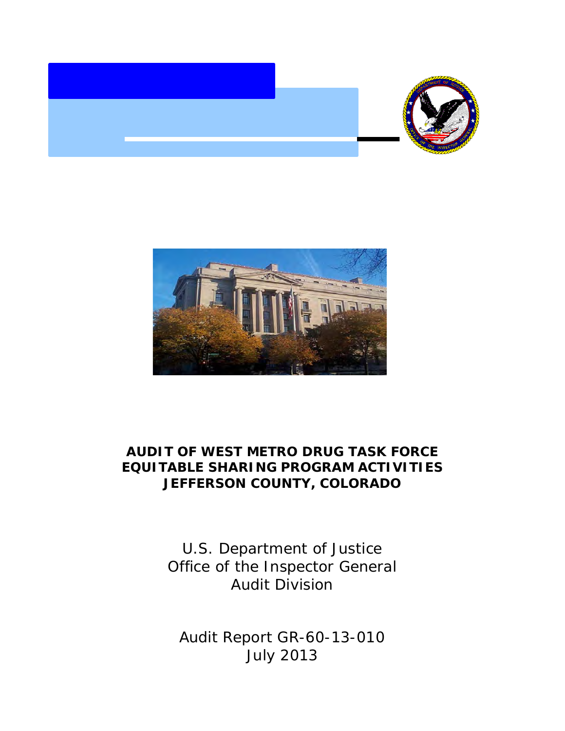



# **AUDIT OF WEST METRO DRUG TASK FORCE EQUITABLE SHARING PROGRAM ACTIVITIES JEFFERSON COUNTY, COLORADO**

 Office of the Inspector General U.S. Department of Justice Audit Division

 Audit Report GR-60-13-010 July 2013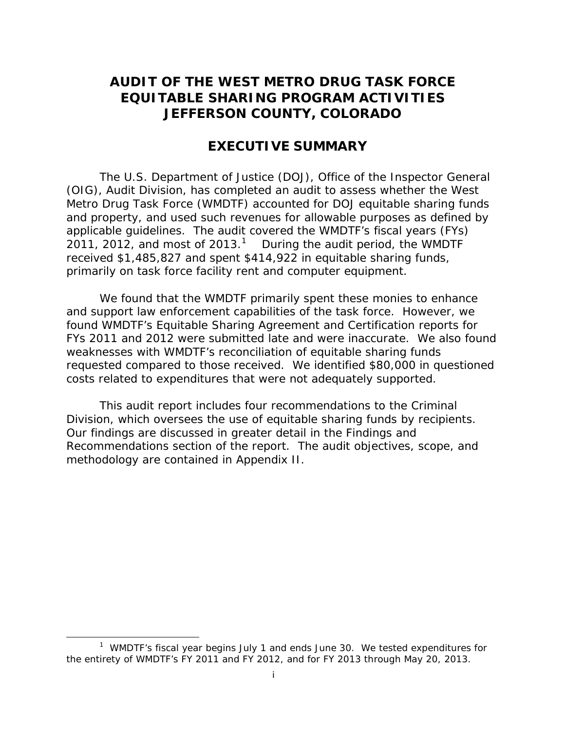# **AUDIT OF THE WEST METRO DRUG TASK FORCE EQUITABLE SHARING PROGRAM ACTIVITIES JEFFERSON COUNTY, COLORADO**

# **EXECUTIVE SUMMARY**

20[1](#page-1-0)1, 2012, and most of 2013.<sup>1</sup> During the audit period, the WMDTF primarily on task force facility rent and computer equipment. The U.S. Department of Justice (DOJ), Office of the Inspector General (OIG), Audit Division, has completed an audit to assess whether the West Metro Drug Task Force (WMDTF) accounted for DOJ equitable sharing funds and property, and used such revenues for allowable purposes as defined by applicable guidelines. The audit covered the WMDTF's fiscal years (FYs) received \$1,485,827 and spent \$414,922 in equitable sharing funds,

 FYs 2011 and 2012 were submitted late and were inaccurate. We also found requested compared to those received. We identified \$80,000 in questioned costs related to expenditures that were not adequately supported. We found that the WMDTF primarily spent these monies to enhance and support law enforcement capabilities of the task force. However, we found WMDTF's Equitable Sharing Agreement and Certification reports for weaknesses with WMDTF's reconciliation of equitable sharing funds

Division, which oversees the use of equitable sharing funds by recipients.<br>Our findings are discussed in greater detail in the Findings and This audit report includes four recommendations to the Criminal Recommendations section of the report. The audit objectives, scope, and methodology are contained in Appendix II.

l

<span id="page-1-0"></span> $1$  WMDTF's fiscal year begins July 1 and ends June 30. We tested expenditures for the entirety of WMDTF's FY 2011 and FY 2012, and for FY 2013 through May 20, 2013.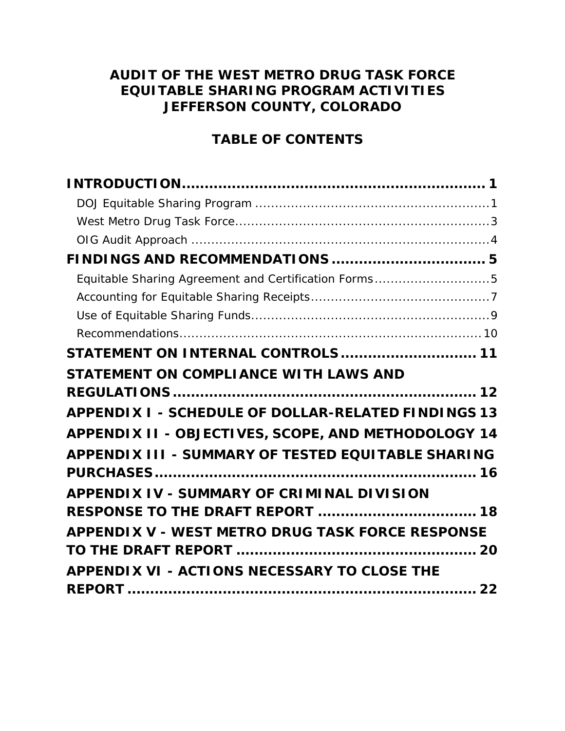# **AUDIT OF THE WEST METRO DRUG TASK FORCE EQUITABLE SHARING PROGRAM ACTIVITIES JEFFERSON COUNTY, COLORADO**

# **TABLE OF CONTENTS**

| Equitable Sharing Agreement and Certification Forms5       |
|------------------------------------------------------------|
|                                                            |
|                                                            |
|                                                            |
| STATEMENT ON INTERNAL CONTROLS  11                         |
| STATEMENT ON COMPLIANCE WITH LAWS AND                      |
|                                                            |
| <b>APPENDIX I - SCHEDULE OF DOLLAR-RELATED FINDINGS 13</b> |
| APPENDIX II - OBJECTIVES, SCOPE, AND METHODOLOGY 14        |
| APPENDIX III - SUMMARY OF TESTED EQUITABLE SHARING         |
| APPENDIX IV - SUMMARY OF CRIMINAL DIVISION                 |
| <b>RESPONSE TO THE DRAFT REPORT  18</b>                    |
| <b>APPENDIX V - WEST METRO DRUG TASK FORCE RESPONSE</b>    |
|                                                            |
| <b>APPENDIX VI - ACTIONS NECESSARY TO CLOSE THE</b>        |
|                                                            |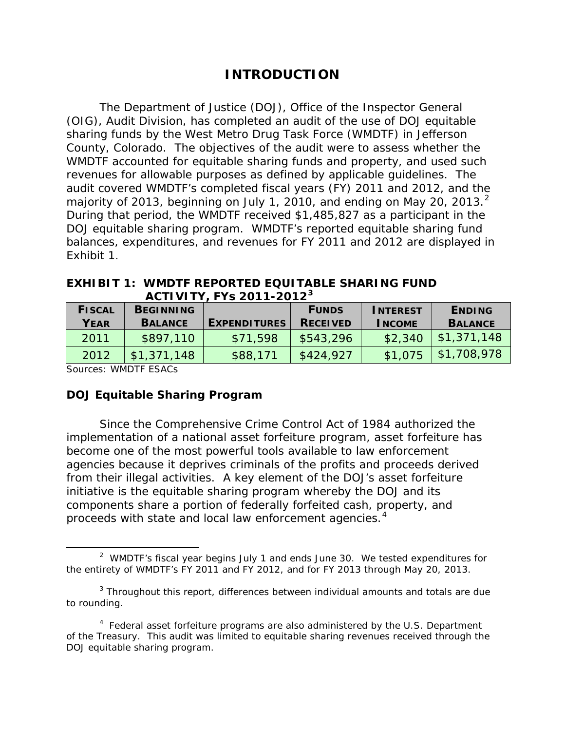# **INTRODUCTION**

<span id="page-3-0"></span> (OIG), Audit Division, has completed an audit of the use of DOJ equitable sharing funds by the West Metro Drug Task Force (WMDTF) in Jefferson County, Colorado. The objectives of the audit were to assess whether the revenues for allowable purposes as defined by applicable guidelines. The majority of [2](#page-3-2)013, beginning on July 1, 2010, and ending on May 20, 2013. $^2$  DOJ equitable sharing program. WMDTF's reported equitable sharing fund The Department of Justice (DOJ), Office of the Inspector General WMDTF accounted for equitable sharing funds and property, and used such audit covered WMDTF's completed fiscal years (FY) 2011 and 2012, and the During that period, the WMDTF received \$1,485,827 as a participant in the balances, expenditures, and revenues for FY 2011 and 2012 are displayed in Exhibit 1.

**EXHIBIT 1: WMDTF REPORTED EQUITABLE SHARING FUND ACTIVITY, FYs 2011-2012[3](#page-3-3)** 

| <b>FISCAL</b> | <b>BEGINNING</b> |                     | <b>FUNDS</b>    | <b>INTEREST</b> | <b>ENDING</b>  |
|---------------|------------------|---------------------|-----------------|-----------------|----------------|
| YEAR          | <b>BALANCE</b>   | <b>EXPENDITURES</b> | <b>RECEIVED</b> | <b>INCOME</b>   | <b>BALANCE</b> |
| 2011          | \$897,110        | \$71,598            | \$543,296       | \$2,340         | \$1,371,148    |
| 2012          | \$1,371,148      | \$88,171            | \$424,927       | \$1,075         | \$1,708,978    |

Sources: WMDTF ESACs

 $\overline{\phantom{a}}$ 

### <span id="page-3-1"></span>**DOJ Equitable Sharing Program**

Since the Comprehensive Crime Control Act of 1984 authorized the implementation of a national asset forfeiture program, asset forfeiture has become one of the most powerful tools available to law enforcement agencies because it deprives criminals of the profits and proceeds derived from their illegal activities. A key element of the DOJ's asset forfeiture initiative is the equitable sharing program whereby the DOJ and its components share a portion of federally forfeited cash, property, and proceeds with state and local law enforcement agencies.<sup>[4](#page-3-4)</sup>

<span id="page-3-2"></span> $2$  WMDTF's fiscal year begins July 1 and ends June 30. We tested expenditures for the entirety of WMDTF's FY 2011 and FY 2012, and for FY 2013 through May 20, 2013.

<span id="page-3-3"></span> $3$  Throughout this report, differences between individual amounts and totals are due to rounding.

<span id="page-3-4"></span> $4$  Federal asset forfeiture programs are also administered by the U.S. Department of the Treasury. This audit was limited to equitable sharing revenues received through the DOJ equitable sharing program.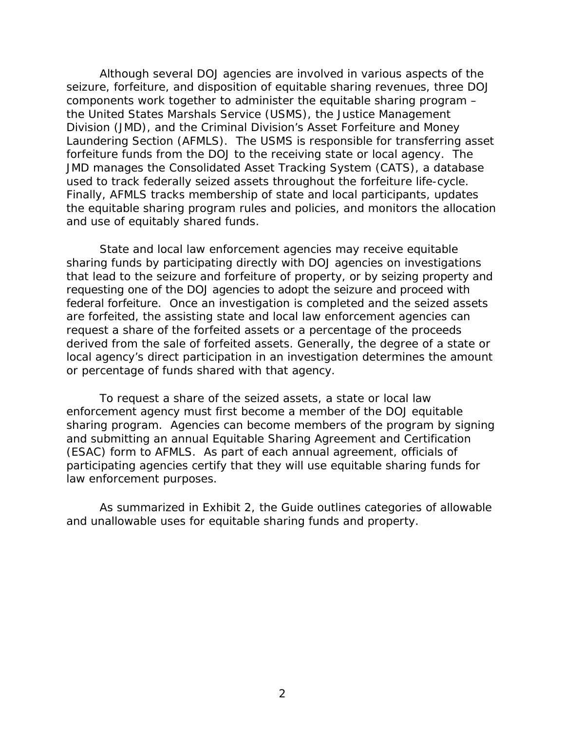the United States Marshals Service (USMS), the Justice Management Laundering Section (AFMLS). The USMS is responsible for transferring asset Although several DOJ agencies are involved in various aspects of the seizure, forfeiture, and disposition of equitable sharing revenues, three DOJ components work together to administer the equitable sharing program – Division (JMD), and the Criminal Division's Asset Forfeiture and Money forfeiture funds from the DOJ to the receiving state or local agency. The JMD manages the Consolidated Asset Tracking System (CATS), a database used to track federally seized assets throughout the forfeiture life-cycle. Finally, AFMLS tracks membership of state and local participants, updates the equitable sharing program rules and policies, and monitors the allocation and use of equitably shared funds.

State and local law enforcement agencies may receive equitable sharing funds by participating directly with DOJ agencies on investigations that lead to the seizure and forfeiture of property, or by seizing property and requesting one of the DOJ agencies to adopt the seizure and proceed with federal forfeiture. Once an investigation is completed and the seized assets are forfeited, the assisting state and local law enforcement agencies can request a share of the forfeited assets or a percentage of the proceeds derived from the sale of forfeited assets. Generally, the degree of a state or local agency's direct participation in an investigation determines the amount or percentage of funds shared with that agency.

 participating agencies certify that they will use equitable sharing funds for To request a share of the seized assets, a state or local law enforcement agency must first become a member of the DOJ equitable sharing program. Agencies can become members of the program by signing and submitting an annual Equitable Sharing Agreement and Certification (ESAC) form to AFMLS. As part of each annual agreement, officials of law enforcement purposes.

As summarized in Exhibit 2, the *Guide* outlines categories of allowable and unallowable uses for equitable sharing funds and property.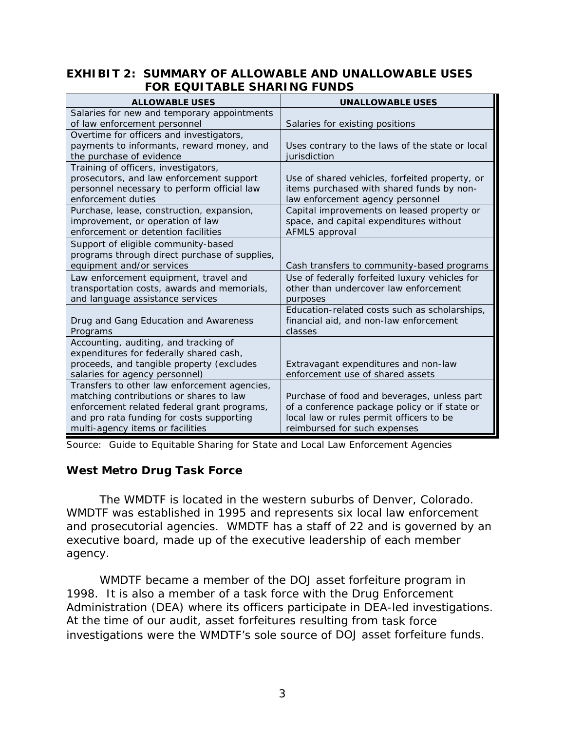### **EXHIBIT 2: SUMMARY OF ALLOWABLE AND UNALLOWABLE USES FOR EQUITABLE SHARING FUNDS**

| <b>ALLOWABLE USES</b>                                                                | <b>UNALLOWABLE USES</b>                                                                 |
|--------------------------------------------------------------------------------------|-----------------------------------------------------------------------------------------|
| Salaries for new and temporary appointments                                          |                                                                                         |
| of law enforcement personnel                                                         | Salaries for existing positions                                                         |
| Overtime for officers and investigators,                                             |                                                                                         |
| payments to informants, reward money, and                                            | Uses contrary to the laws of the state or local                                         |
| the purchase of evidence                                                             | jurisdiction                                                                            |
| Training of officers, investigators,                                                 |                                                                                         |
| prosecutors, and law enforcement support                                             | Use of shared vehicles, forfeited property, or                                          |
| personnel necessary to perform official law<br>enforcement duties                    | items purchased with shared funds by non-                                               |
|                                                                                      | law enforcement agency personnel                                                        |
| Purchase, lease, construction, expansion,                                            | Capital improvements on leased property or                                              |
| improvement, or operation of law<br>enforcement or detention facilities              | space, and capital expenditures without<br>AFMLS approval                               |
|                                                                                      |                                                                                         |
| Support of eligible community-based<br>programs through direct purchase of supplies, |                                                                                         |
| equipment and/or services                                                            | Cash transfers to community-based programs                                              |
|                                                                                      |                                                                                         |
| Law enforcement equipment, travel and<br>transportation costs, awards and memorials, | Use of federally forfeited luxury vehicles for<br>other than undercover law enforcement |
| and language assistance services                                                     | purposes                                                                                |
|                                                                                      | Education-related costs such as scholarships,                                           |
| Drug and Gang Education and Awareness                                                | financial aid, and non-law enforcement                                                  |
| Programs                                                                             | classes                                                                                 |
| Accounting, auditing, and tracking of                                                |                                                                                         |
| expenditures for federally shared cash,                                              |                                                                                         |
| proceeds, and tangible property (excludes                                            | Extravagant expenditures and non-law                                                    |
| salaries for agency personnel)                                                       | enforcement use of shared assets                                                        |
| Transfers to other law enforcement agencies,                                         |                                                                                         |
| matching contributions or shares to law                                              | Purchase of food and beverages, unless part                                             |
| enforcement related federal grant programs,                                          | of a conference package policy or if state or                                           |
| and pro rata funding for costs supporting                                            | local law or rules permit officers to be                                                |
| multi-agency items or facilities                                                     | reimbursed for such expenses                                                            |

 Source: *Guide to Equitable Sharing for State and Local Law Enforcement Agencies* 

# <span id="page-5-0"></span>**West Metro Drug Task Force**

The WMDTF is located in the western suburbs of Denver, Colorado. WMDTF was established in 1995 and represents six local law enforcement and prosecutorial agencies. WMDTF has a staff of 22 and is governed by an executive board, made up of the executive leadership of each member agency.

 1998. It is also a member of a task force with the Drug Enforcement WMDTF became a member of the DOJ asset forfeiture program in Administration (DEA) where its officers participate in DEA-led investigations. At the time of our audit, asset forfeitures resulting from task force investigations were the WMDTF's sole source of DOJ asset forfeiture funds.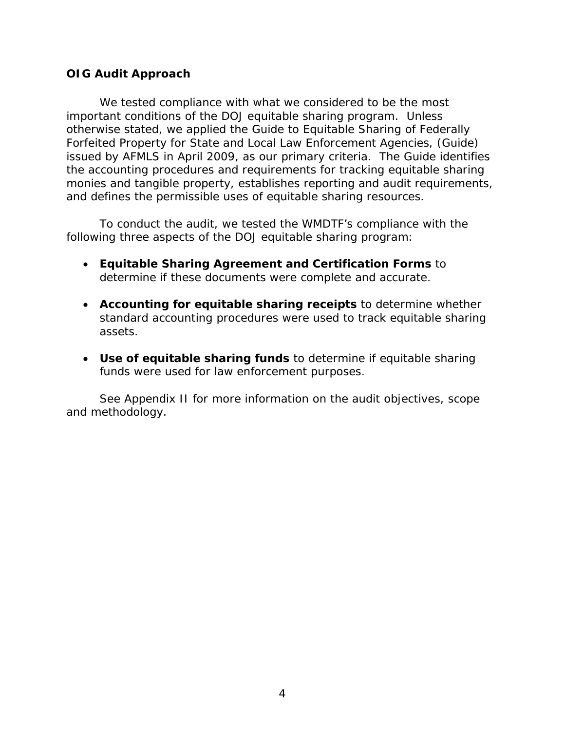## <span id="page-6-0"></span>**OIG Audit Approach**

 *Forfeited Property for State and Local Law Enforcement Agencies*, (*Guide*) We tested compliance with what we considered to be the most important conditions of the DOJ equitable sharing program. Unless otherwise stated, we applied the *Guide to Equitable Sharing of Federally*  issued by AFMLS in April 2009, as our primary criteria. The *Guide* identifies the accounting procedures and requirements for tracking equitable sharing monies and tangible property, establishes reporting and audit requirements, and defines the permissible uses of equitable sharing resources.

To conduct the audit, we tested the WMDTF's compliance with the following three aspects of the DOJ equitable sharing program:

- • **Equitable Sharing Agreement and Certification Forms** to determine if these documents were complete and accurate.
- • **Accounting for equitable sharing receipts** to determine whether standard accounting procedures were used to track equitable sharing assets.
- Use of equitable sharing funds to determine if equitable sharing funds were used for law enforcement purposes.

See Appendix II for more information on the audit objectives, scope and methodology.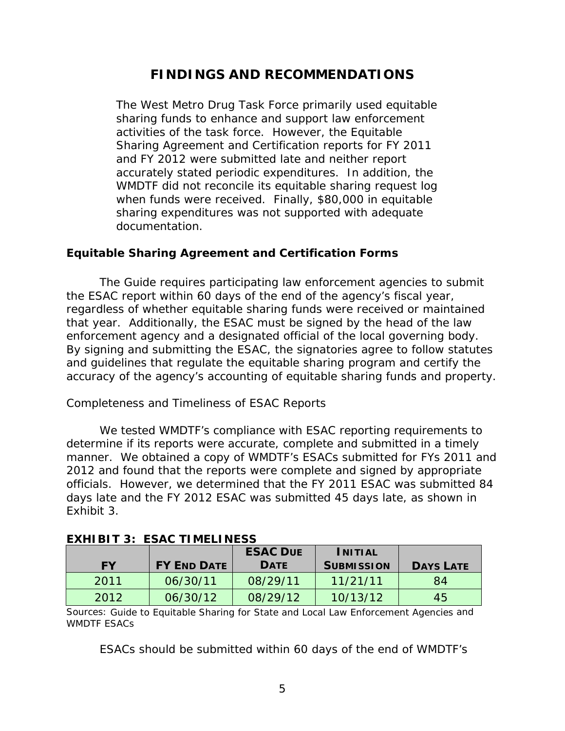# **FINDINGS AND RECOMMENDATIONS**

<span id="page-7-0"></span> and FY 2012 were submitted late and neither report accurately stated periodic expenditures. In addition, the WMDTF did not reconcile its equitable sharing request log when funds were received. Finally, \$80,000 in equitable The West Metro Drug Task Force primarily used equitable sharing funds to enhance and support law enforcement activities of the task force. However, the Equitable Sharing Agreement and Certification reports for FY 2011 sharing expenditures was not supported with adequate documentation.

# <span id="page-7-1"></span>**Equitable Sharing Agreement and Certification Forms**

 the ESAC report within 60 days of the end of the agency's fiscal year, accuracy of the agency's accounting of equitable sharing funds and property. The *Guide* requires participating law enforcement agencies to submit regardless of whether equitable sharing funds were received or maintained that year. Additionally, the ESAC must be signed by the head of the law enforcement agency and a designated official of the local governing body. By signing and submitting the ESAC, the signatories agree to follow statutes and guidelines that regulate the equitable sharing program and certify the

# *Completeness and Timeliness of ESAC Reports*

 manner. We obtained a copy of WMDTF's ESACs submitted for FYs 2011 and officials. However, we determined that the FY 2011 ESAC was submitted 84 We tested WMDTF's compliance with ESAC reporting requirements to determine if its reports were accurate, complete and submitted in a timely 2012 and found that the reports were complete and signed by appropriate days late and the FY 2012 ESAC was submitted 45 days late, as shown in Exhibit 3.

|           |                    | <b>ESAC DUE</b> | INITIAL           |                  |
|-----------|--------------------|-----------------|-------------------|------------------|
| <b>FY</b> | <b>FY END DATE</b> | <b>DATE</b>     | <b>SUBMISSION</b> | <b>DAYS LATE</b> |
| 2011      | 06/30/11           | 08/29/11        | 11/21/11          | 84               |
| 2012      | 06/30/12           | 08/29/12        | 10/13/12          | 45               |

# **EXHIBIT 3: ESAC TIMELINESS**

Sources: *Guide to Equitable Sharing for State and Local Law Enforcement Agencies* and WMDTF ESACs

ESACs should be submitted within 60 days of the end of WMDTF's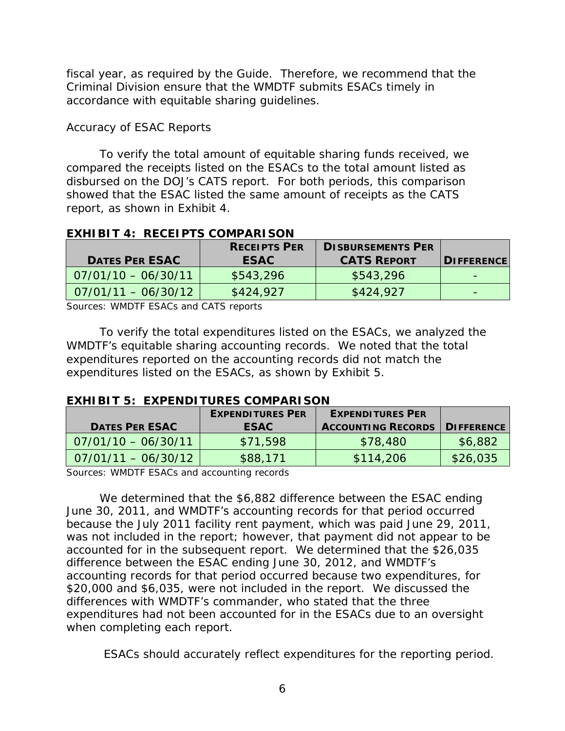fiscal year, as required by the *Guide*. Therefore, we recommend that the Criminal Division ensure that the WMDTF submits ESACs timely in accordance with equitable sharing guidelines.

# *Accuracy of ESAC Reports*

 showed that the ESAC listed the same amount of receipts as the CATS To verify the total amount of equitable sharing funds received, we compared the receipts listed on the ESACs to the total amount listed as disbursed on the DOJ's CATS report. For both periods, this comparison report, as shown in Exhibit 4.

**EXHIBIT 4: RECEIPTS COMPARISON** 

| <b>DATES PER ESAC</b> | <b>RECEIPTS PER</b><br><b>ESAC</b> | <b>DISBURSEMENTS PER</b><br><b>CATS REPORT</b> | <b>DIFFERENCE</b> |
|-----------------------|------------------------------------|------------------------------------------------|-------------------|
| $07/01/10 - 06/30/11$ | \$543,296                          | \$543,296                                      |                   |
| $07/01/11 - 06/30/12$ | \$424,927                          | \$424,927                                      |                   |

Sources: WMDTF ESACs and CATS reports

 WMDTF's equitable sharing accounting records. We noted that the total To verify the total expenditures listed on the ESACs, we analyzed the expenditures reported on the accounting records did not match the expenditures listed on the ESACs, as shown by Exhibit 5.

### **EXHIBIT 5: EXPENDITURES COMPARISON**

|                       | <b>EXPENDITURES PER</b> | <b>EXPENDITURES PER</b>   |                      |
|-----------------------|-------------------------|---------------------------|----------------------|
| <b>DATES PER ESAC</b> | <b>ESAC</b>             | <b>ACCOUNTING RECORDS</b> | <b>I DIFFERENCE!</b> |
| $07/01/10 - 06/30/11$ | \$71,598                | \$78,480                  | \$6,882              |
| $07/01/11 - 06/30/12$ | \$88,171                | \$114,206                 | \$26,035             |

Sources: WMDTF ESACs and accounting records

 differences with WMDTF's commander, who stated that the three when completing each report. We determined that the \$6,882 difference between the ESAC ending June 30, 2011, and WMDTF's accounting records for that period occurred because the July 2011 facility rent payment, which was paid June 29, 2011, was not included in the report; however, that payment did not appear to be accounted for in the subsequent report. We determined that the \$26,035 difference between the ESAC ending June 30, 2012, and WMDTF's accounting records for that period occurred because two expenditures, for \$20,000 and \$6,035, were not included in the report. We discussed the expenditures had not been accounted for in the ESACs due to an oversight

ESACs should accurately reflect expenditures for the reporting period.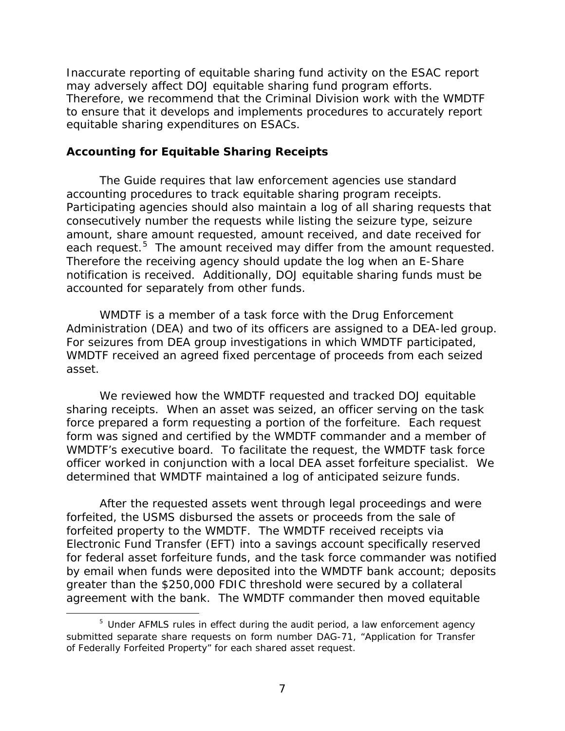Therefore, we recommend that the Criminal Division work with the WMDTF Inaccurate reporting of equitable sharing fund activity on the ESAC report may adversely affect DOJ equitable sharing fund program efforts. to ensure that it develops and implements procedures to accurately report equitable sharing expenditures on ESACs.

## <span id="page-9-0"></span> **Accounting for Equitable Sharing Receipts**

each request.<sup>5</sup> The amount received may differ from the amount requested. notification is received. Additionally, DOJ equitable sharing funds must be The *Guide* requires that law enforcement agencies use standard accounting procedures to track equitable sharing program receipts. Participating agencies should also maintain a log of all sharing requests that consecutively number the requests while listing the seizure type, seizure amount, share amount requested, amount received, and date received for Therefore the receiving agency should update the log when an E-Share accounted for separately from other funds.

 WMDTF is a member of a task force with the Drug Enforcement Administration (DEA) and two of its officers are assigned to a DEA-led group. For seizures from DEA group investigations in which WMDTF participated, WMDTF received an agreed fixed percentage of proceeds from each seized asset.

 officer worked in conjunction with a local DEA asset forfeiture specialist. We We reviewed how the WMDTF requested and tracked DOJ equitable sharing receipts. When an asset was seized, an officer serving on the task force prepared a form requesting a portion of the forfeiture. Each request form was signed and certified by the WMDTF commander and a member of WMDTF's executive board. To facilitate the request, the WMDTF task force determined that WMDTF maintained a log of anticipated seizure funds.

 After the requested assets went through legal proceedings and were forfeited, the USMS disbursed the assets or proceeds from the sale of forfeited property to the WMDTF. The WMDTF received receipts via Electronic Fund Transfer (EFT) into a savings account specifically reserved for federal asset forfeiture funds, and the task force commander was notified by email when funds were deposited into the WMDTF bank account; deposits greater than the \$250,000 FDIC threshold were secured by a collateral agreement with the bank. The WMDTF commander then moved equitable

 $\overline{\phantom{a}}$ 

<span id="page-9-1"></span> $5$  Under AFMLS rules in effect during the audit period, a law enforcement agency submitted separate share requests on form number DAG-71, "Application for Transfer of Federally Forfeited Property" for each shared asset request.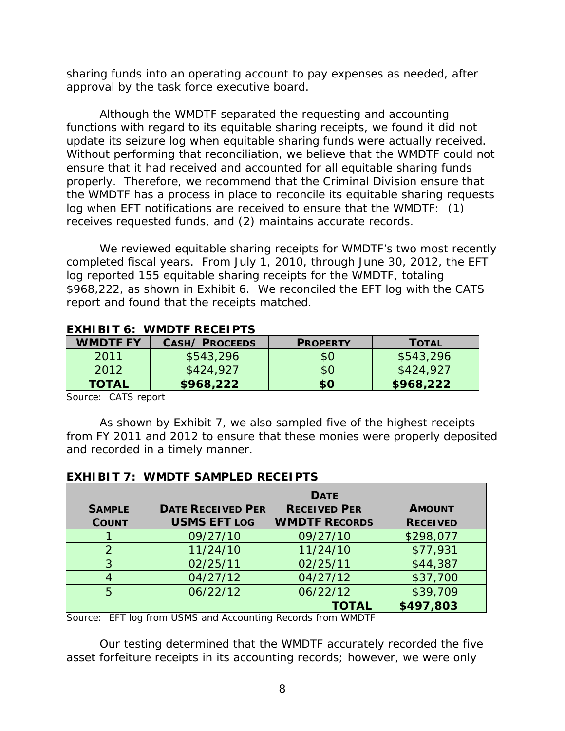sharing funds into an operating account to pay expenses as needed, after approval by the task force executive board.

 update its seizure log when equitable sharing funds were actually received. the WMDTF has a process in place to reconcile its equitable sharing requests Although the WMDTF separated the requesting and accounting functions with regard to its equitable sharing receipts, we found it did not Without performing that reconciliation, we believe that the WMDTF could not ensure that it had received and accounted for all equitable sharing funds properly. Therefore, we recommend that the Criminal Division ensure that log when EFT notifications are received to ensure that the WMDTF: (1) receives requested funds, and (2) maintains accurate records.

 completed fiscal years. From July 1, 2010, through June 30, 2012, the EFT log reported 155 equitable sharing receipts for the WMDTF, totaling \$968,222, as shown in Exhibit 6. We reconciled the EFT log with the CATS report and found that the receipts matched. We reviewed equitable sharing receipts for WMDTF's two most recently

| <b>WMDTF FY</b> | <b>CASH/ PROCEEDS</b> | <b>PROPERTY</b> | <b>TOTAL</b> |
|-----------------|-----------------------|-----------------|--------------|
| 2011            | \$543,296             | \$0             | \$543,296    |
| 2012            | \$424,927             | \$0             | \$424,927    |
| <b>TOTAL</b>    | \$968,222             | \$0             | \$968,222    |

# **EXHIBIT 6: WMDTF RECEIPTS**

Source: CATS report

As shown by Exhibit 7, we also sampled five of the highest receipts from FY 2011 and 2012 to ensure that these monies were properly deposited and recorded in a timely manner.

| <b>SAMPLE</b><br><b>COUNT</b> | <b>DATE RECEIVED PER</b><br><b>USMS EFT LOG</b> | <b>DATE</b><br><b>RECEIVED PER</b><br><b>WMDTF RECORDS</b> | <b>AMOUNT</b><br><b>RECEIVED</b> |
|-------------------------------|-------------------------------------------------|------------------------------------------------------------|----------------------------------|
|                               | 09/27/10                                        | 09/27/10                                                   | \$298,077                        |
| $\mathcal{P}$                 | 11/24/10                                        | 11/24/10                                                   | \$77,931                         |
| 3                             | 02/25/11                                        | 02/25/11                                                   | \$44,387                         |
|                               | 04/27/12                                        | 04/27/12                                                   | \$37,700                         |
| 5                             | 06/22/12                                        | 06/22/12                                                   | \$39,709                         |
|                               |                                                 | <b>TOTAL</b>                                               | \$497,803                        |

# **EXHIBIT 7: WMDTF SAMPLED RECEIPTS**

Source: EFT log from USMS and Accounting Records from WMDTF

Our testing determined that the WMDTF accurately recorded the five asset forfeiture receipts in its accounting records; however, we were only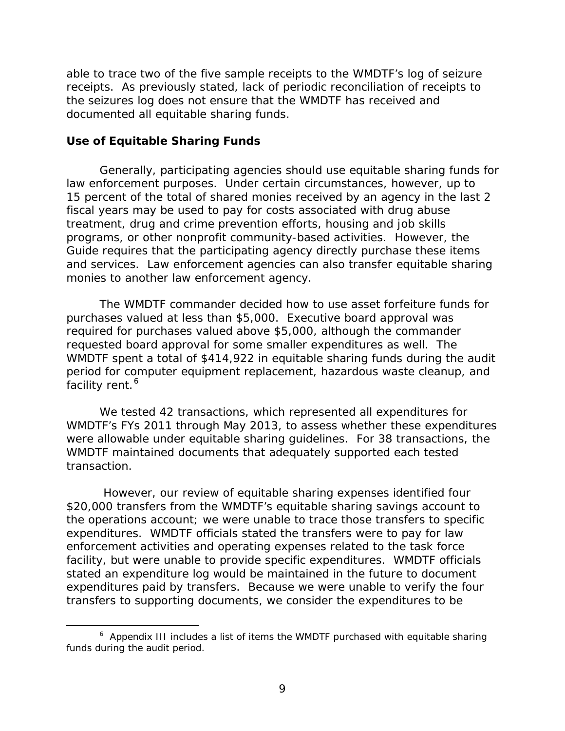receipts. As previously stated, lack of periodic reconciliation of receipts to able to trace two of the five sample receipts to the WMDTF's log of seizure the seizures log does not ensure that the WMDTF has received and documented all equitable sharing funds.

#### <span id="page-11-0"></span> **Use of Equitable Sharing Funds**

 $\overline{\phantom{a}}$ 

 fiscal years may be used to pay for costs associated with drug abuse programs, or other nonprofit community-based activities. However, the and services. Law enforcement agencies can also transfer equitable sharing Generally, participating agencies should use equitable sharing funds for law enforcement purposes. Under certain circumstances, however, up to 15 percent of the total of shared monies received by an agency in the last 2 treatment, drug and crime prevention efforts, housing and job skills *Guide* requires that the participating agency directly purchase these items monies to another law enforcement agency.

 requested board approval for some smaller expenditures as well. The WMDTF spent a total of \$414,922 in equitable sharing funds during the audit The WMDTF commander decided how to use asset forfeiture funds for purchases valued at less than \$5,000. Executive board approval was required for purchases valued above \$5,000, although the commander period for computer equipment replacement, hazardous waste cleanup, and facility rent. [6](#page-11-1)

 WMDTF's FYs 2011 through May 2013, to assess whether these expenditures were allowable under equitable sharing guidelines. For 38 transactions, the We tested 42 transactions, which represented all expenditures for WMDTF maintained documents that adequately supported each tested transaction.

However, our review of equitable sharing expenses identified four \$20,000 transfers from the WMDTF's equitable sharing savings account to the operations account; we were unable to trace those transfers to specific expenditures. WMDTF officials stated the transfers were to pay for law enforcement activities and operating expenses related to the task force facility, but were unable to provide specific expenditures. WMDTF officials stated an expenditure log would be maintained in the future to document expenditures paid by transfers. Because we were unable to verify the four transfers to supporting documents, we consider the expenditures to be

<span id="page-11-1"></span> $6$  Appendix III includes a list of items the WMDTF purchased with equitable sharing funds during the audit period.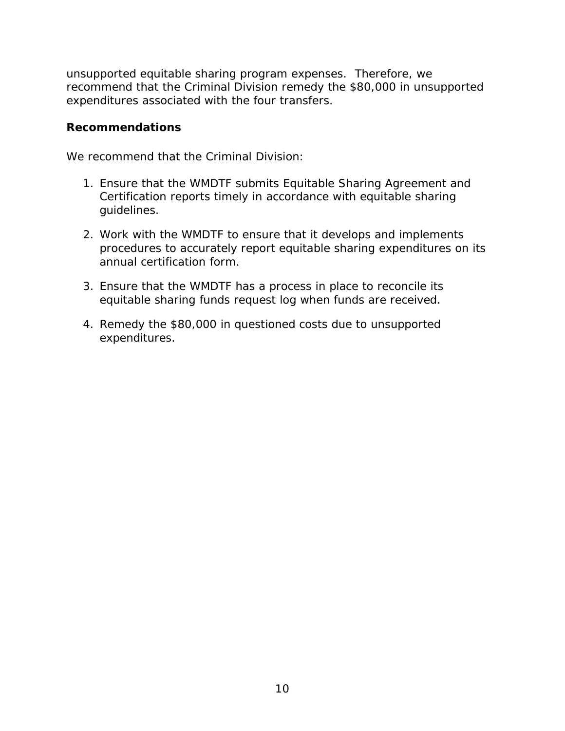unsupported equitable sharing program expenses. Therefore, we recommend that the Criminal Division remedy the \$80,000 in unsupported expenditures associated with the four transfers.

## <span id="page-12-0"></span>**Recommendations**

We recommend that the Criminal Division:

- quidelines. 1. Ensure that the WMDTF submits Equitable Sharing Agreement and Certification reports timely in accordance with equitable sharing
- 2. Work with the WMDTF to ensure that it develops and implements procedures to accurately report equitable sharing expenditures on its annual certification form.
- 3. Ensure that the WMDTF has a process in place to reconcile its equitable sharing funds request log when funds are received.
- 4. Remedy the \$80,000 in questioned costs due to unsupported expenditures.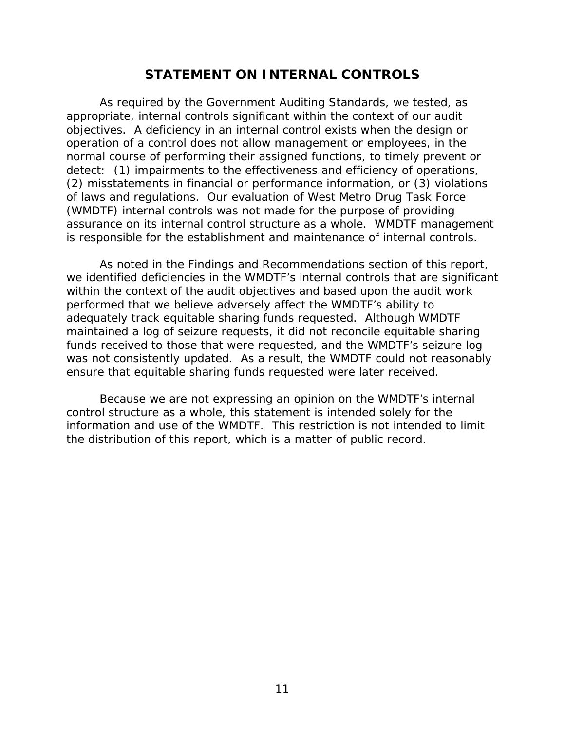# **STATEMENT ON INTERNAL CONTROLS**

<span id="page-13-0"></span> As required by the *Government Auditing Standards*, we tested, as assurance on its internal control structure as a whole. WMDTF management appropriate, internal controls significant within the context of our audit objectives. A deficiency in an internal control exists when the design or operation of a control does not allow management or employees, in the normal course of performing their assigned functions, to timely prevent or detect: (1) impairments to the effectiveness and efficiency of operations, (2) misstatements in financial or performance information, or (3) violations of laws and regulations. Our evaluation of West Metro Drug Task Force (WMDTF) internal controls was *not* made for the purpose of providing is responsible for the establishment and maintenance of internal controls.

 As noted in the Findings and Recommendations section of this report, performed that we believe adversely affect the WMDTF's ability to was not consistently updated. As a result, the WMDTF could not reasonably we identified deficiencies in the WMDTF's internal controls that are significant within the context of the audit objectives and based upon the audit work adequately track equitable sharing funds requested. Although WMDTF maintained a log of seizure requests, it did not reconcile equitable sharing funds received to those that were requested, and the WMDTF's seizure log ensure that equitable sharing funds requested were later received.

Because we are not expressing an opinion on the WMDTF's internal control structure as a whole, this statement is intended solely for the information and use of the WMDTF. This restriction is not intended to limit the distribution of this report, which is a matter of public record.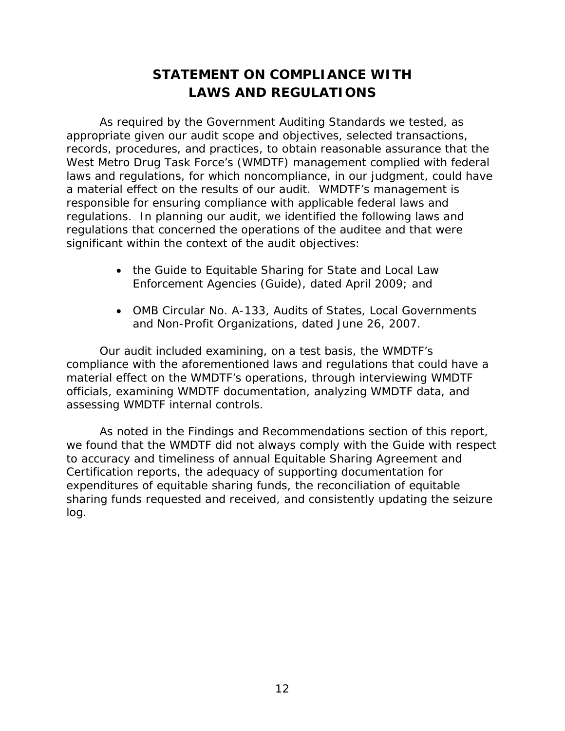# **STATEMENT ON COMPLIANCE WITH LAWS AND REGULATIONS**

<span id="page-14-0"></span> As required by the *Government Auditing Standards* we tested, as responsible for ensuring compliance with applicable federal laws and appropriate given our audit scope and objectives, selected transactions, records, procedures, and practices, to obtain reasonable assurance that the West Metro Drug Task Force's (WMDTF) management complied with federal laws and regulations, for which noncompliance, in our judgment, could have a material effect on the results of our audit. WMDTF's management is regulations. In planning our audit, we identified the following laws and regulations that concerned the operations of the auditee and that were significant within the context of the audit objectives:

- *Enforcement Agencies* (*Guide*), dated April 2009; and • the *Guide to Equitable Sharing for State and Local Law*
- OMB Circular No. A-133, Audits of States, Local Governments and Non-Profit Organizations, dated June 26, 2007.

 Our audit included examining, on a test basis, the WMDTF's material effect on the WMDTF's operations, through interviewing WMDTF officials, examining WMDTF documentation, analyzing WMDTF data, and compliance with the aforementioned laws and regulations that could have a assessing WMDTF internal controls.

 As noted in the Findings and Recommendations section of this report, we found that the WMDTF did not always comply with the *Guide* with respect to accuracy and timeliness of annual Equitable Sharing Agreement and Certification reports, the adequacy of supporting documentation for expenditures of equitable sharing funds, the reconciliation of equitable sharing funds requested and received, and consistently updating the seizure log.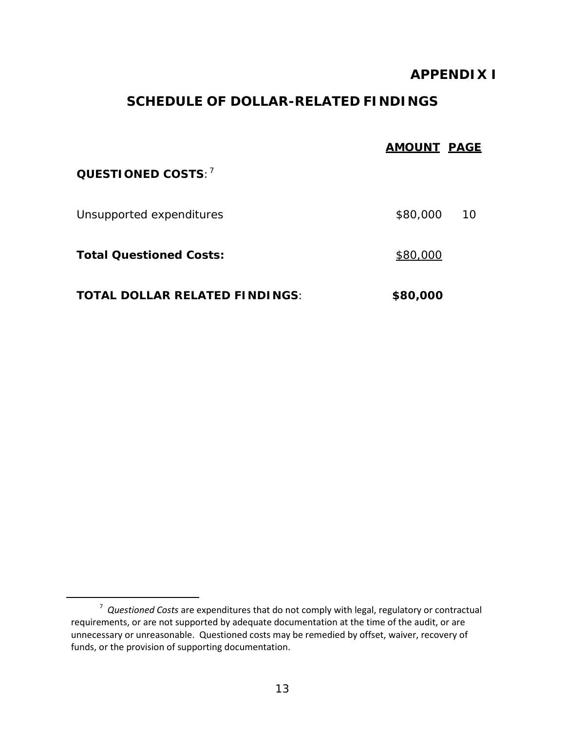# **APPENDIX I**

# **SCHEDULE OF DOLLAR-RELATED FINDINGS**

<span id="page-15-0"></span>

|                                       | <b>AMOUNT PAGE</b> |    |
|---------------------------------------|--------------------|----|
| QUESTIONED COSTS: <sup>7</sup>        |                    |    |
| Unsupported expenditures              | \$80,000           | 10 |
| <b>Total Questioned Costs:</b>        | \$80,000           |    |
| <b>TOTAL DOLLAR RELATED FINDINGS:</b> | \$80,000           |    |

<span id="page-15-1"></span> $\overline{\phantom{a}}$ 

 <sup>7</sup>*Questioned Costs* are expenditures that do not comply with legal, regulatory or contractual requirements, or are not supported by adequate documentation at the time of the audit, or are unnecessary or unreasonable. Questioned costs may be remedied by offset, waiver, recovery of funds, or the provision of supporting documentation.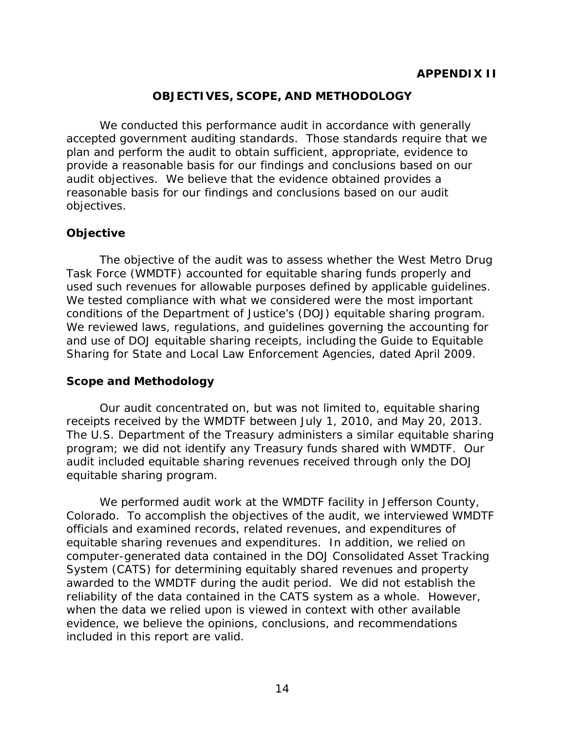# **OBJECTIVES, SCOPE, AND METHODOLOGY**

<span id="page-16-0"></span> plan and perform the audit to obtain sufficient, appropriate, evidence to reasonable basis for our findings and conclusions based on our audit We conducted this performance audit in accordance with generally accepted government auditing standards. Those standards require that we provide a reasonable basis for our findings and conclusions based on our audit objectives. We believe that the evidence obtained provides a objectives.

# **Objective**

 Task Force (WMDTF) accounted for equitable sharing funds properly and The objective of the audit was to assess whether the West Metro Drug used such revenues for allowable purposes defined by applicable guidelines. We tested compliance with what we considered were the most important conditions of the Department of Justice's (DOJ) equitable sharing program. We reviewed laws, regulations, and guidelines governing the accounting for and use of DOJ equitable sharing receipts, including the *Guide to Equitable Sharing for State and Local Law Enforcement Agencies*, dated April 2009.

### **Scope and Methodology**

Our audit concentrated on, but was not limited to, equitable sharing receipts received by the WMDTF between July 1, 2010, and May 20, 2013. The U.S. Department of the Treasury administers a similar equitable sharing program; we did not identify any Treasury funds shared with WMDTF. Our audit included equitable sharing revenues received through only the DOJ equitable sharing program.

 Colorado. To accomplish the objectives of the audit, we interviewed WMDTF equitable sharing revenues and expenditures. In addition, we relied on awarded to the WMDTF during the audit period. We did not establish the We performed audit work at the WMDTF facility in Jefferson County, officials and examined records, related revenues, and expenditures of computer-generated data contained in the DOJ Consolidated Asset Tracking System (CATS) for determining equitably shared revenues and property reliability of the data contained in the CATS system as a whole. However, when the data we relied upon is viewed in context with other available evidence, we believe the opinions, conclusions, and recommendations included in this report are valid.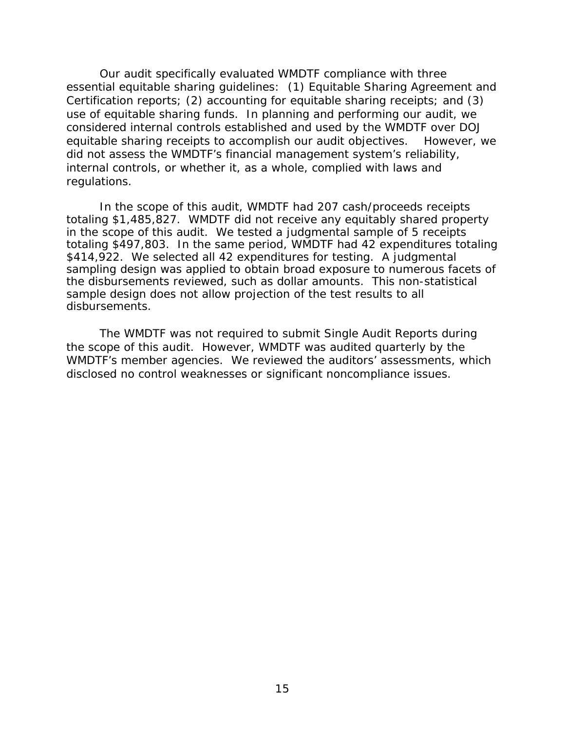equitable sharing receipts to accomplish our audit objectives. However, we Our audit specifically evaluated WMDTF compliance with three essential equitable sharing guidelines: (1) Equitable Sharing Agreement and Certification reports; (2) accounting for equitable sharing receipts; and (3) use of equitable sharing funds. In planning and performing our audit, we considered internal controls established and used by the WMDTF over DOJ did not assess the WMDTF's financial management system's reliability, internal controls, or whether it, as a whole, complied with laws and regulations.

 totaling \$497,803. In the same period, WMDTF had 42 expenditures totaling \$414,922. We selected all 42 expenditures for testing. A judgmental In the scope of this audit, WMDTF had 207 cash/proceeds receipts totaling \$1,485,827. WMDTF did not receive any equitably shared property in the scope of this audit. We tested a judgmental sample of 5 receipts sampling design was applied to obtain broad exposure to numerous facets of the disbursements reviewed, such as dollar amounts. This non-statistical sample design does not allow projection of the test *results to all disbursements.* 

 the scope of this audit. However, WMDTF was audited quarterly by the WMDTF's member agencies. We reviewed the auditors' assessments, which The WMDTF was not required to submit Single Audit Reports during disclosed no control weaknesses or significant noncompliance issues.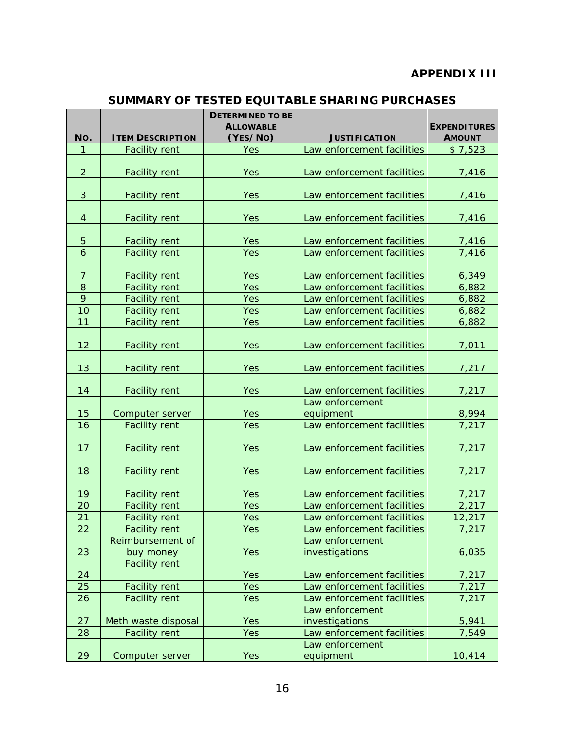# **APPENDIX III**

#### **SUMMARY OF TESTED EQUITABLE SHARING PURCHASES**

<span id="page-18-0"></span>

|                          |                                             | <b>DETERMINED TO BE</b><br><b>ALLOWABLE</b> |                                   | <b>EXPENDITURES</b> |
|--------------------------|---------------------------------------------|---------------------------------------------|-----------------------------------|---------------------|
| No.                      | <b>ITEM DESCRIPTION</b>                     | (YES/NO)                                    | <b>JUSTIFICATION</b>              | <b>AMOUNT</b>       |
| 1                        | <b>Facility rent</b>                        | Yes                                         | Law enforcement facilities        | \$7,523             |
|                          |                                             |                                             |                                   |                     |
| $\overline{2}$           | <b>Facility rent</b>                        | Yes                                         | Law enforcement facilities        | 7,416               |
|                          |                                             |                                             |                                   |                     |
| 3                        | <b>Facility rent</b>                        | Yes                                         | Law enforcement facilities        | 7,416               |
|                          |                                             |                                             |                                   |                     |
| $\overline{4}$           | <b>Facility rent</b>                        | Yes                                         | Law enforcement facilities        | 7,416               |
|                          |                                             |                                             |                                   |                     |
| 5<br>$\ddot{\mathbf{6}}$ | <b>Facility rent</b>                        | Yes                                         | Law enforcement facilities        | 7,416               |
|                          | <b>Facility rent</b>                        | Yes                                         | Law enforcement facilities        | 7,416               |
| $\overline{7}$           | <b>Facility rent</b>                        | Yes                                         | Law enforcement facilities        | 6,349               |
| $\,8\,$                  | <b>Facility rent</b>                        | Yes                                         | Law enforcement facilities        | 6,882               |
| 9                        | <b>Facility rent</b>                        | <b>Yes</b>                                  | Law enforcement facilities        | 6,882               |
| 10                       | <b>Facility rent</b>                        | Yes                                         | Law enforcement facilities        | 6,882               |
| 11                       | <b>Facility rent</b>                        | Yes                                         | Law enforcement facilities        | 6,882               |
|                          |                                             |                                             |                                   |                     |
| 12                       | <b>Facility rent</b>                        | Yes                                         | Law enforcement facilities        | 7,011               |
|                          |                                             |                                             |                                   |                     |
| 13                       | <b>Facility rent</b>                        | Yes                                         | Law enforcement facilities        | 7,217               |
|                          |                                             |                                             |                                   |                     |
| 14                       | <b>Facility rent</b>                        | Yes                                         | Law enforcement facilities        | 7,217               |
|                          |                                             |                                             | Law enforcement                   |                     |
| 15                       | Computer server                             | Yes                                         | equipment                         | 8,994               |
| 16                       | <b>Facility rent</b>                        | Yes                                         | Law enforcement facilities        | 7,217               |
| 17                       | <b>Facility rent</b>                        | Yes                                         | Law enforcement facilities        | 7,217               |
|                          |                                             |                                             |                                   |                     |
| 18                       | <b>Facility rent</b>                        | Yes                                         | Law enforcement facilities        | 7,217               |
|                          |                                             |                                             |                                   |                     |
| 19                       | <b>Facility rent</b>                        | <b>Yes</b>                                  | Law enforcement facilities        | 7,217               |
| 20                       | <b>Facility rent</b>                        | Yes                                         | Law enforcement facilities        | 2,217               |
| 21                       | <b>Facility rent</b>                        | Yes                                         | Law enforcement facilities        | 12,217              |
| 22                       | <b>Facility rent</b>                        | Yes                                         | Law enforcement facilities        | 7,217               |
|                          | Reimbursement of                            |                                             | Law enforcement                   |                     |
| 23                       | buy money                                   | Yes                                         | investigations                    | 6,035               |
|                          | <b>Facility rent</b>                        |                                             |                                   |                     |
| 24                       |                                             | <b>Yes</b>                                  | Law enforcement facilities        | 7,217               |
| 25                       | <b>Facility rent</b>                        | <b>Yes</b>                                  | Law enforcement facilities        | 7,217               |
| 26                       | <b>Facility rent</b>                        | <b>Yes</b>                                  | Law enforcement facilities        | 7,217               |
|                          |                                             |                                             | Law enforcement<br>investigations |                     |
| 27<br>28                 | Meth waste disposal<br><b>Facility rent</b> | <b>Yes</b><br>Yes                           | Law enforcement facilities        | 5,941<br>7,549      |
|                          |                                             |                                             | Law enforcement                   |                     |
| 29                       | Computer server                             | Yes                                         | equipment                         | 10,414              |
|                          |                                             |                                             |                                   |                     |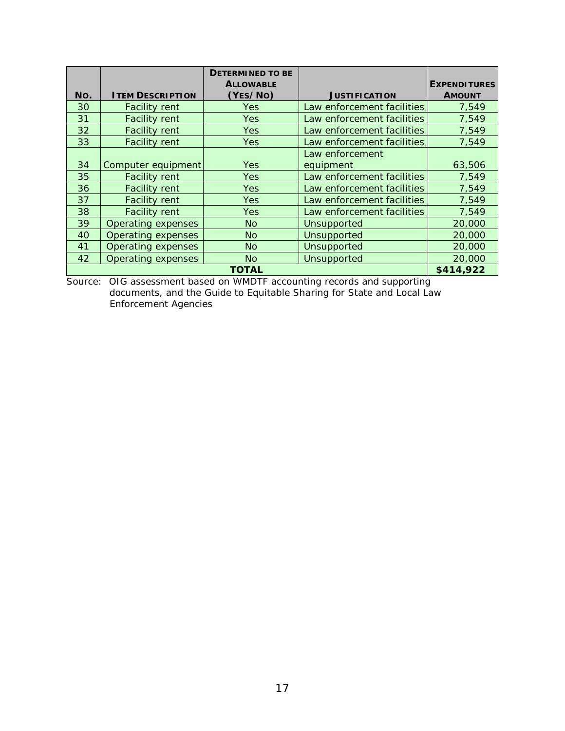|     |                           | <b>DETERMINED TO BE</b> |                            |                     |
|-----|---------------------------|-------------------------|----------------------------|---------------------|
|     |                           | <b>ALLOWABLE</b>        |                            | <b>EXPENDITURES</b> |
| No. | <b>ITEM DESCRIPTION</b>   | (YES/NO)                | <b>JUSTIFICATION</b>       | <b>AMOUNT</b>       |
| 30  | <b>Facility rent</b>      | Yes                     | Law enforcement facilities | 7,549               |
| 31  | <b>Facility rent</b>      | Yes                     | Law enforcement facilities | 7,549               |
| 32  | <b>Facility rent</b>      | Yes                     | Law enforcement facilities | 7,549               |
| 33  | <b>Facility rent</b>      | Yes                     | Law enforcement facilities | 7,549               |
|     |                           |                         | Law enforcement            |                     |
| 34  | Computer equipment        | Yes                     | equipment                  | 63,506              |
| 35  | <b>Facility rent</b>      | Yes                     | Law enforcement facilities | 7.549               |
| 36  | <b>Facility rent</b>      | <b>Yes</b>              | Law enforcement facilities | 7,549               |
| 37  | <b>Facility rent</b>      | <b>Yes</b>              | Law enforcement facilities | 7,549               |
| 38  | <b>Facility rent</b>      | Yes                     | Law enforcement facilities | 7,549               |
| 39  | Operating expenses        | <b>No</b>               | Unsupported                | 20,000              |
| 40  | <b>Operating expenses</b> | <b>No</b>               | Unsupported                | 20,000              |
| 41  | <b>Operating expenses</b> | <b>No</b>               | Unsupported                | 20,000              |
| 42  | Operating expenses        | <b>No</b>               | Unsupported                | 20,000              |
|     |                           | <b>TOTAL</b>            |                            | \$414,922           |

 Source: OIG assessment based on WMDTF accounting records and supporting documents, and the *Guide to Equitable Sharing for State and Local Law Enforcement Agencies*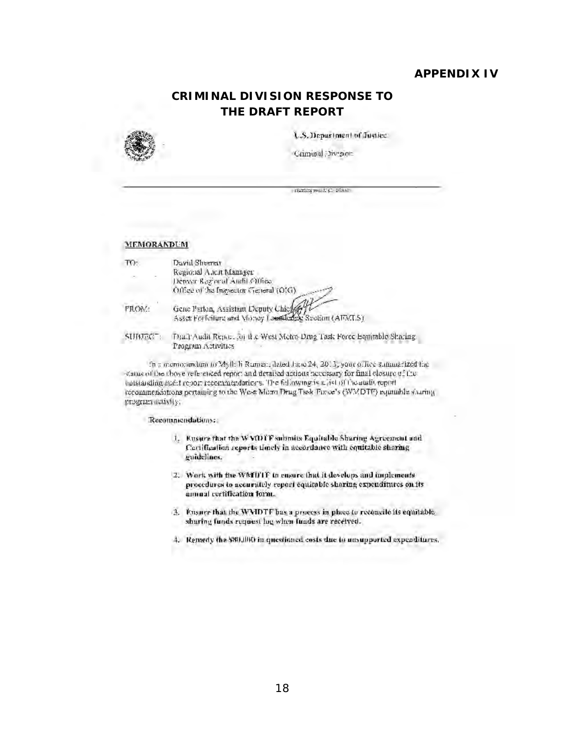### **APPENDIX IV**

# **CRIMINAL DIVISION RESPONSE TO** THE DRAFT REPORT

<span id="page-20-0"></span>

U.S. Department of Justice.

Criminal Divenue

1828/08 9911 E.C. 203101

#### **MEMORANDUM**

| TO:    | David Sheerer                                                                                  |
|--------|------------------------------------------------------------------------------------------------|
|        | Regional Ancit Manager<br>Denyar Regional Audit Office                                         |
|        | Office of the Inspector General (OIG).                                                         |
| FROM:  | Gene Parton, Assistan Deputy Chief<br>Asset Forfoldera and Milney Launderfule Seetium (AEMLS). |
| SUBJEC | Draft Audit Renorman if a West Motre Drug Task Force Equitable                                 |

Sharing Program Activities

In a momorandum to Myll: h Ruman, detect June 24, 2013, your office summarized the status of the above referenced report and detailed actions necessary for final closure of the ontstanding audit report recommendations. The following is a jist of the audit report recommendations pertaining to the West Morei Drug Task Finice's (WMDTF) equilible sharing program activity;

#### **Recommendations:**

- 1. Ensure that the W VOITF submits Equitable Sharing Agreement and Certification reports timely in accordance with equitable sharing guidelines.
- 2. Work with the WMDTF in ensure that it develops and implements procedures to accurately report equitable sharing expenditures on its amual certification form.
- 3. Ensure that the WMDTF bas a process in place to reconcile its equitable. sharing funds request beg when funds are received.
- 4. Remedy the \$80,000 in questioned costs due to ansupported expenditures.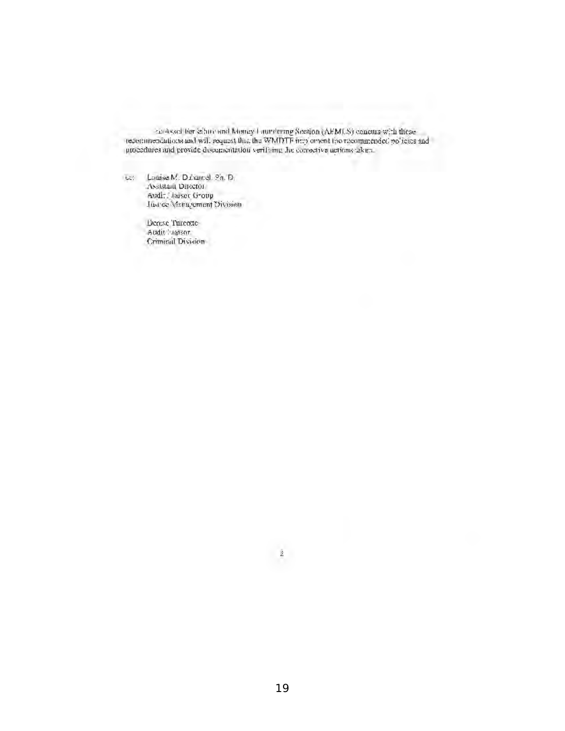$\sim$  Asset for is hird and Money I surviving Section (AEMLS) concurs with these recommendations and will request that the WMDTF first orient horizon<br>uncoder policies and provide documentation verifising the corrective act

Lauise M. Davanel, Ph. D.  $622$ Assistant Director Audit Liaiser Group<br>Just ce Maragement Division

> Dense Turcotte Audit Ligtson Crimical Division

> > $\hat{\mathbb{Z}}$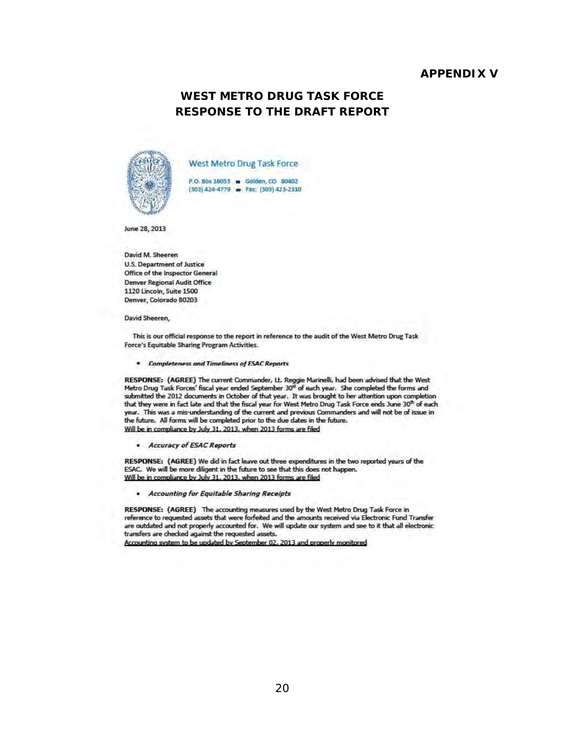#### **APPFNDIX V**

# **WEST METRO DRUG TASK FORCE RESPONSE TO THE DRAFT REPORT**

<span id="page-22-0"></span>

West Metro Drug Task Force

P.O. Box 16053 = Golden, CO 80402 (303) 424-4779 = Fax: (303) 423-2310

June 28, 2013

David M. Sheeren **U.S. Department of Justice** Office of the Inspector General **Denver Regional Audit Office** 1120 Lincoln, Suite 1500 Denver, Colorado 80203

David Sheeren,

This is our official response to the report in reference to the audit of the West Metro Drug Task Force's Equitable Sharing Program Activities.

• Completeness and Timeliness of ESAC Reports

RESPONSE: (AGREE) The current Commander, Lt. Reggie Marinelli, had been advised that the West Metro Drug Task Forces' fiscal year ended September 30<sup>et</sup> of each year. She completed the forms and submitted the 2012 documents in October of that year. It was brought to her attention upon completion that they were in fact late and that the fiscal year for West Metro Drug Task Force ends June 30th of each year. This was a mis-understanding of the current and previous Commanders and will not be of issue in the future. All forms will be completed prior to the due dates in the future. Will be in compliance by July 31, 2013, when 2013 forms are filed

Accuracy of ESAC Reports

RESPONSE: (AGREE) We did in fact leave out three expenditures in the two reported years of the ESAC. We will be more diligent in the future to see that this does not happen. Will be in compliance by July 31, 2013, when 2013 forms are filed

· Accounting for Equitable Sharing Receipts

RESPONSE: (AGREE) The accounting measures used by the West Metro Drug Task Force in reference to requested assets that were forfeited and the amounts received via Electronic Fund Transfer are outdated and not properly accounted for. We will update our system and see to it that all electronic transfers are checked against the requested assets.

Accounting system to be updated by September 02, 2013 and properly monitored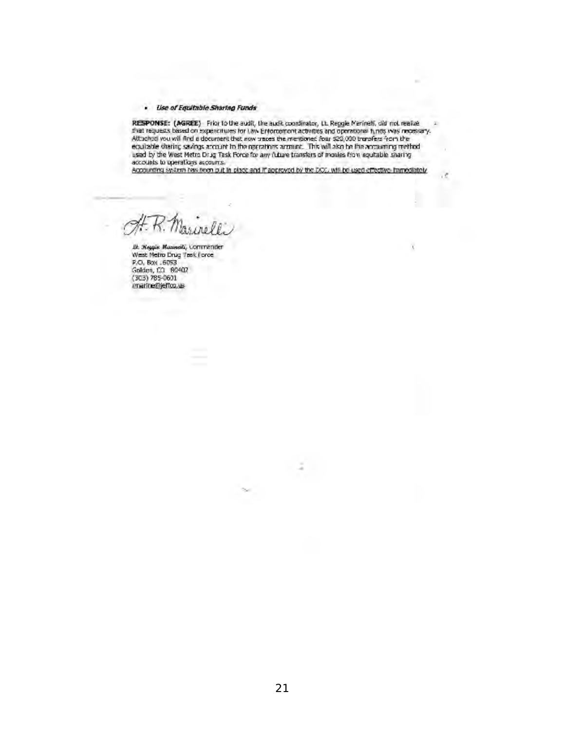#### · Use of Equitable Sharing Funds

RESPONSE: (AGREE) Friento the audit, the audit coordinates, th. Reggie Merinelli, did not realize<br>that requests based on expenditives for Law Enforcement activities and operational funds was recessary.<br>Attached you will fi 压 equilable stering savings around to the operations around. This will also be the accounting method used by the West Metro Drug Task Force for any future transfers of monies from equitable sharing accounts to operations acc

Accounting system has been put in place and if approved by the DCC, will be used effective immediately

 $\frac{1}{2}$ 

X

...<br>B. : Weggie Masselli, Commender<br>West Metro Drug Tesk Force P.O. Box .6053 Golden, CO 80402  $(303)$  785-0601 imatine@jeffcq.us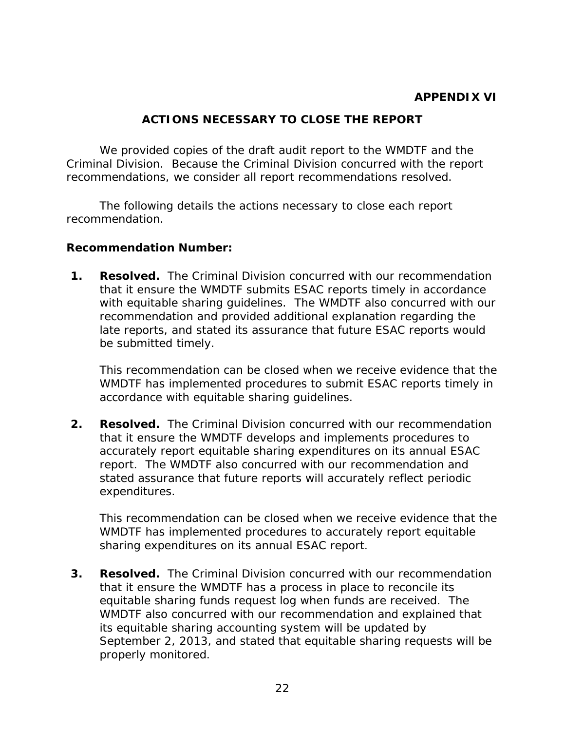# **ACTIONS NECESSARY TO CLOSE THE REPORT**

<span id="page-24-0"></span> Criminal Division. Because the Criminal Division concurred with the report We provided copies of the draft audit report to the WMDTF and the

 recommendations, we consider all report recommendations resolved. The following details the actions necessary to close each report recommendation.

## **Recommendation Number:**

**1. Resolved.** The Criminal Division concurred with our recommendation with equitable sharing guidelines. The WMDTF also concurred with our late reports, and stated its assurance that future ESAC reports would that it ensure the WMDTF submits ESAC reports timely in accordance recommendation and provided additional explanation regarding the be submitted timely.

 This recommendation can be closed when we receive evidence that the WMDTF has implemented procedures to submit ESAC reports timely in accordance with equitable sharing guidelines.

 **2. Resolved.** The Criminal Division concurred with our recommendation that it ensure the WMDTF develops and implements procedures to accurately report equitable sharing expenditures on its annual ESAC report. The WMDTF also concurred with our recommendation and stated assurance that future reports will accurately reflect periodic expenditures.

 This recommendation can be closed when we receive evidence that the WMDTF has implemented procedures to accurately report equitable sharing expenditures on its annual ESAC report.

 **3. Resolved.** The Criminal Division concurred with our recommendation equitable sharing funds request log when funds are received. The September 2, 2013, and stated that equitable sharing requests will be that it ensure the WMDTF has a process in place to reconcile its WMDTF also concurred with our recommendation and explained that its equitable sharing accounting system will be updated by properly monitored.